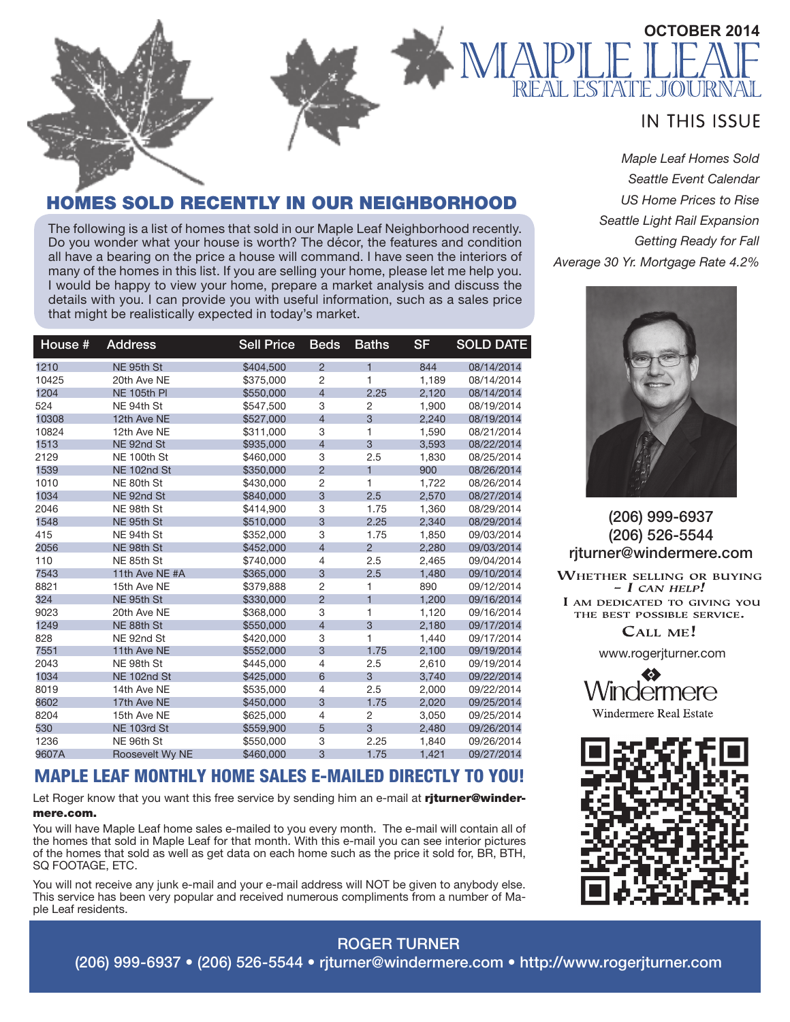

*Maple Leaf Homes Sold Seattle Event Calendar US Home Prices to Rise Seattle Light Rail Expansion Getting Ready for Fall Average 30 Yr. Mortgage Rate 4.2%*



(206) 999-6937 (206) 526-5544 rjturner@windermere.com

WHETHER SELLING OR BUYING  $- I$  CAN HELP! I AM DEDICATED TO GIVING YOU THE BEST POSSIBLE SERVICE.

CALL ME!

www.rogerjturner.com



**Windermere Real Estate** 



# HOMES SOLD RECENTLY IN OUR NEIGHBORHOOD

The following is a list of homes that sold in our Maple Leaf Neighborhood recently. Do you wonder what your house is worth? The décor, the features and condition all have a bearing on the price a house will command. I have seen the interiors of many of the homes in this list. If you are selling your home, please let me help you. I would be happy to view your home, prepare a market analysis and discuss the details with you. I can provide you with useful information, such as a sales price that might be realistically expected in today's market.

| House # | <b>Address</b>  | <b>Sell Price</b> | <b>Beds</b>    | <b>Baths</b>   | <b>SF</b> | <b>SOLD DATE</b> |
|---------|-----------------|-------------------|----------------|----------------|-----------|------------------|
| 1210    | NE 95th St      | \$404,500         | $\overline{2}$ | 1              | 844       | 08/14/2014       |
| 10425   | 20th Ave NE     | \$375,000         | $\overline{2}$ | $\mathbf{1}$   | 1,189     | 08/14/2014       |
| 1204    | NE 105th PI     | \$550,000         | $\overline{4}$ | 2.25           | 2,120     | 08/14/2014       |
| 524     | NE 94th St      | \$547,500         | 3              | 2              | 1,900     | 08/19/2014       |
| 10308   | 12th Ave NE     | \$527,000         | $\overline{4}$ | 3              | 2.240     | 08/19/2014       |
| 10824   | 12th Ave NE     | \$311.000         | 3              | 1              | 1.590     | 08/21/2014       |
| 1513    | NE 92nd St      | \$935,000         | $\overline{4}$ | 3              | 3,593     | 08/22/2014       |
| 2129    | NE 100th St     | \$460,000         | 3              | 2.5            | 1.830     | 08/25/2014       |
| 1539    | NE 102nd St     | \$350,000         | $\overline{2}$ | $\overline{1}$ | 900       | 08/26/2014       |
| 1010    | NE 80th St      | \$430,000         | $\overline{2}$ | 1              | 1,722     | 08/26/2014       |
| 1034    | NE 92nd St      | \$840,000         | 3              | 2.5            | 2,570     | 08/27/2014       |
| 2046    | NE 98th St      | \$414,900         | 3              | 1.75           | 1,360     | 08/29/2014       |
| 1548    | NE 95th St      | \$510,000         | 3              | 2.25           | 2,340     | 08/29/2014       |
| 415     | NE 94th St      | \$352,000         | 3              | 1.75           | 1,850     | 09/03/2014       |
| 2056    | NE 98th St      | \$452,000         | $\overline{4}$ | $\overline{2}$ | 2.280     | 09/03/2014       |
| 110     | NE 85th St      | \$740,000         | 4              | 2.5            | 2,465     | 09/04/2014       |
| 7543    | 11th Ave NE #A  | \$365,000         | 3              | 2.5            | 1.480     | 09/10/2014       |
| 8821    | 15th Ave NE     | \$379,888         | $\overline{2}$ | 1              | 890       | 09/12/2014       |
| 324     | NE 95th St      | \$330,000         | $\overline{2}$ | $\overline{1}$ | 1.200     | 09/16/2014       |
| 9023    | 20th Ave NE     | \$368,000         | 3              | 1              | 1,120     | 09/16/2014       |
| 1249    | NE 88th St      | \$550,000         | $\overline{4}$ | 3              | 2.180     | 09/17/2014       |
| 828     | NE 92nd St      | \$420,000         | 3              | $\mathbf{1}$   | 1,440     | 09/17/2014       |
| 7551    | 11th Ave NE     | \$552,000         | 3              | 1.75           | 2,100     | 09/19/2014       |
| 2043    | NE 98th St      | \$445.000         | $\overline{4}$ | 2.5            | 2,610     | 09/19/2014       |
| 1034    | NE 102nd St     | \$425,000         | 6              | 3              | 3,740     | 09/22/2014       |
| 8019    | 14th Ave NE     | \$535,000         | $\overline{4}$ | 2.5            | 2,000     | 09/22/2014       |
| 8602    | 17th Ave NE     | \$450,000         | 3              | 1.75           | 2.020     | 09/25/2014       |
| 8204    | 15th Ave NE     | \$625,000         | $\overline{4}$ | 2              | 3,050     | 09/25/2014       |
| 530     | NE 103rd St     | \$559,900         | 5              | 3              | 2.480     | 09/26/2014       |
| 1236    | NE 96th St      | \$550,000         | 3              | 2.25           | 1,840     | 09/26/2014       |
| 9607A   | Roosevelt Wy NE | \$460,000         | 3              | 1.75           | 1,421     | 09/27/2014       |

## **M**APLE LEAF MONTHLY HOME SALES E-MAILED DIRECTLY TO YOU!

Let Roger know that you want this free service by sending him an e-mail at riturner@windermere.com.

You will have Maple Leaf home sales e-mailed to you every month. The e-mail will contain all of the homes that sold in Maple Leaf for that month. With this e-mail you can see interior pictures of the homes that sold as well as get data on each home such as the price it sold for, BR, BTH, SQ FOOTAGE, ETC.

You will not receive any junk e-mail and your e-mail address will NOT be given to anybody else. This service has been very popular and received numerous compliments from a number of Maple Leaf residents.

# ROGER TURNER

(206) 999-6937 • (206) 526-5544 • rjturner@windermere.com • http://www.rogerjturner.com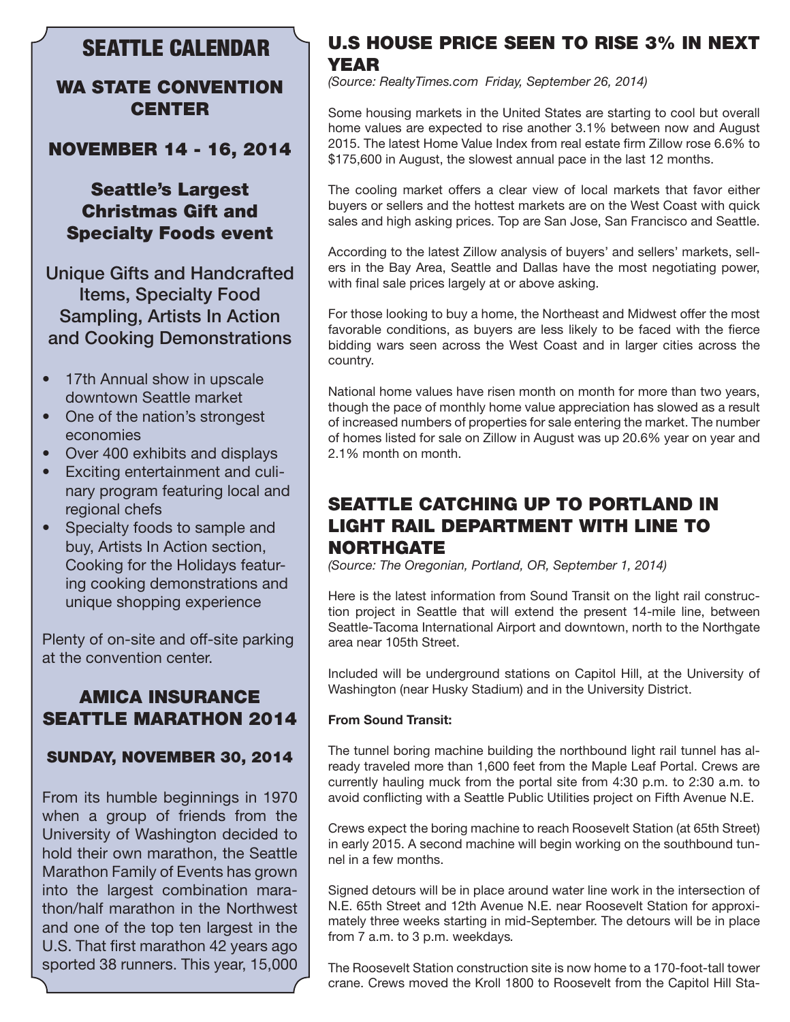# SEATTLE CALENDAR

## WA STATE CONVENTION **CENTER**

NOVEMBER 14 - 16, 2014

# Seattle's Largest Christmas Gift and Specialty Foods event

Unique Gifts and Handcrafted Items, Specialty Food Sampling, Artists In Action and Cooking Demonstrations

- 17th Annual show in upscale downtown Seattle market
- One of the nation's strongest economies
- Over 400 exhibits and displays
- Exciting entertainment and culinary program featuring local and regional chefs
- Specialty foods to sample and buy, Artists In Action section, Cooking for the Holidays featuring cooking demonstrations and unique shopping experience

Plenty of on-site and off-site parking at the convention center.

# AMICA INSURANCE SEATTLE MARATHON 2014

## SUNDAY, NOVEMBER 30, 2014

From its humble beginnings in 1970 when a group of friends from the University of Washington decided to hold their own marathon, the Seattle Marathon Family of Events has grown into the largest combination marathon/half marathon in the Northwest and one of the top ten largest in the U.S. That first marathon 42 years ago sported 38 runners. This year, 15,000

## U.S HOUSE PRICE SEEN TO RISE 3% IN NEXT YEAR

*(Source: RealtyTimes.com Friday, September 26, 2014)*

Some housing markets in the United States are starting to cool but overall home values are expected to rise another 3.1% between now and August 2015. The latest Home Value Index from real estate firm Zillow rose 6.6% to \$175,600 in August, the slowest annual pace in the last 12 months.

The cooling market offers a clear view of local markets that favor either buyers or sellers and the hottest markets are on the West Coast with quick sales and high asking prices. Top are San Jose, San Francisco and Seattle.

According to the latest Zillow analysis of buyers' and sellers' markets, sellers in the Bay Area, Seattle and Dallas have the most negotiating power, with final sale prices largely at or above asking.

For those looking to buy a home, the Northeast and Midwest offer the most favorable conditions, as buyers are less likely to be faced with the fierce bidding wars seen across the West Coast and in larger cities across the country.

National home values have risen month on month for more than two years, though the pace of monthly home value appreciation has slowed as a result of increased numbers of properties for sale entering the market. The number of homes listed for sale on Zillow in August was up 20.6% year on year and 2.1% month on month.

# SEATTLE CATCHING UP TO PORTLAND IN LIGHT RAIL DEPARTMENT WITH LINE TO NORTHGATE

*(Source: The Oregonian, Portland, OR, September 1, 2014)*

Here is the latest information from Sound Transit on the light rail construction project in Seattle that will extend the present 14-mile line, between Seattle-Tacoma International Airport and downtown, north to the Northgate area near 105th Street.

Included will be underground stations on Capitol Hill, at the University of Washington (near Husky Stadium) and in the University District.

### **From Sound Transit:**

The tunnel boring machine building the northbound light rail tunnel has already traveled more than 1,600 feet from the Maple Leaf Portal. Crews are currently hauling muck from the portal site from 4:30 p.m. to 2:30 a.m. to avoid conflicting with a Seattle Public Utilities project on Fifth Avenue N.E.

Crews expect the boring machine to reach Roosevelt Station (at 65th Street) in early 2015. A second machine will begin working on the southbound tunnel in a few months.

Signed detours will be in place around water line work in the intersection of N.E. 65th Street and 12th Avenue N.E. near Roosevelt Station for approximately three weeks starting in mid-September. The detours will be in place from 7 a.m. to 3 p.m. weekdays*.*

The Roosevelt Station construction site is now home to a 170-foot-tall tower crane. Crews moved the Kroll 1800 to Roosevelt from the Capitol Hill Sta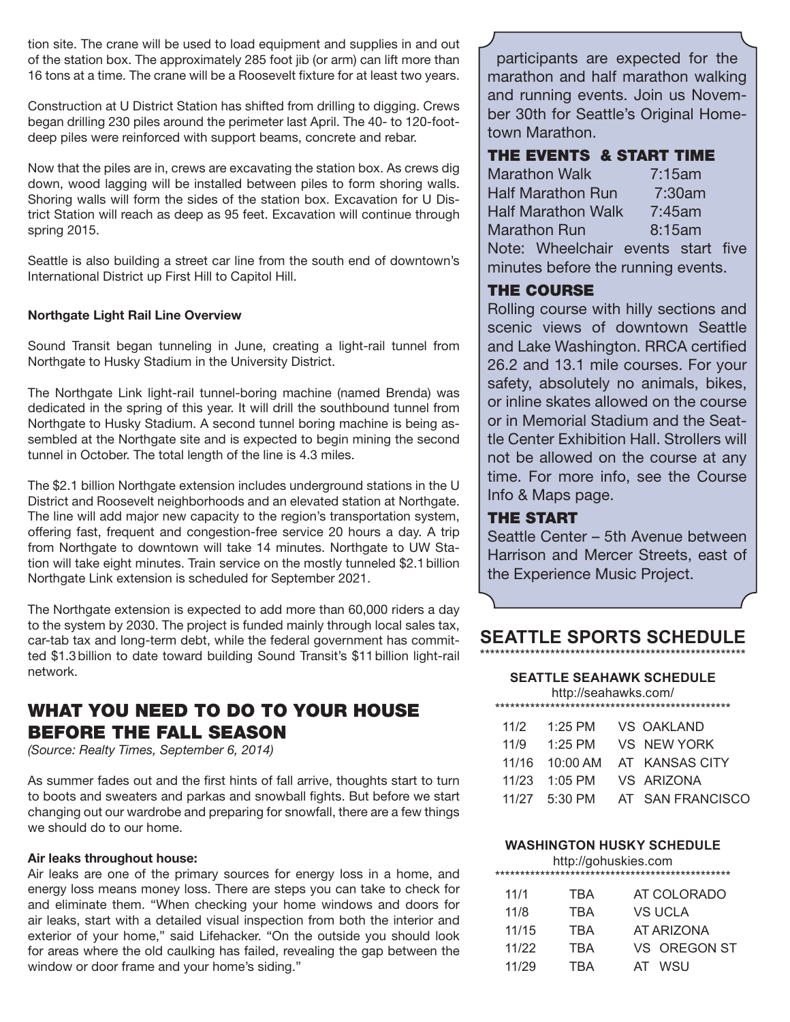tion site. The crane will be used to load equipment and supplies in and out of the station box. The approximately 285 foot jib (or arm) can lift more than 16 tons at a time. The crane will be a Roosevelt fixture for at least two years.

Construction at U District Station has shifted from drilling to digging. Crews began drilling 230 piles around the perimeter last April. The 40- to 120-footdeep piles were reinforced with support beams, concrete and rebar.

Now that the piles are in, crews are excavating the station box. As crews dig down, wood lagging will be installed between piles to form shoring walls. Shoring walls will form the sides of the station box. Excavation for U District Station will reach as deep as 95 feet. Excavation will continue through spring 2015.

Seattle is also building a street car line from the south end of downtown's International District up First Hill to Capitol Hill.

#### **Northgate Light Rail Line Overview**

Sound Transit began tunneling in June, creating a light-rail tunnel from Northgate to Husky Stadium in the University District.

The Northgate Link light-rail tunnel-boring machine (named Brenda) was dedicated in the spring of this year. It will drill the southbound tunnel from Northgate to Husky Stadium. A second tunnel boring machine is being assembled at the Northgate site and is expected to begin mining the second tunnel in October. The total length of the line is 4.3 miles.

The \$2.1 billion Northgate extension includes underground stations in the U District and Roosevelt neighborhoods and an elevated station at Northgate. The line will add major new capacity to the region's transportation system, offering fast, frequent and congestion-free service 20 hours a day. A trip from Northgate to downtown will take 14 minutes. Northgate to UW Station will take eight minutes. Train service on the mostly tunneled \$2.1billion Northgate Link extension is scheduled for September 2021.

The Northgate extension is expected to add more than 60,000 riders a day to the system by 2030. The project is funded mainly through local sales tax, car-tab tax and long-term debt, while the federal government has committed \$1.3billion to date toward building Sound Transit's \$11billion light-rail network.

# WHAT YOU NEED TO DO TO YOUR HOUSE BEFORE THE FALL SEASON

*(Source: Realty Times, September 6, 2014)*

As summer fades out and the first hints of fall arrive, thoughts start to turn to boots and sweaters and parkas and snowball fights. But before we start changing out our wardrobe and preparing for snowfall, there are a few things we should do to our home.

#### **Air leaks throughout house:**

Air leaks are one of the primary sources for energy loss in a home, and energy loss means money loss. There are steps you can take to check for and eliminate them. "When checking your home windows and doors for air leaks, start with a detailed visual inspection from both the interior and exterior of your home," said Lifehacker. "On the outside you should look for areas where the old caulking has failed, revealing the gap between the window or door frame and your home's siding."

participants are expected for the marathon and half marathon walking and running events. Join us November 30th for Seattle's Original Hometown Marathon.

## THE EVENTS & START TIME

| <b>Marathon Walk</b>               |        | 7:15am |  |
|------------------------------------|--------|--------|--|
| <b>Half Marathon Run</b>           |        | 7:30am |  |
| <b>Half Marathon Walk</b>          |        | 7:45am |  |
| <b>Marathon Run</b>                | 8:15am |        |  |
| Note: Wheelchair events start five |        |        |  |

minutes before the running events.

## THE COURSE

Rolling course with hilly sections and scenic views of downtown Seattle and Lake Washington. RRCA certified 26.2 and 13.1 mile courses. For your safety, absolutely no animals, bikes, or inline skates allowed on the course or in Memorial Stadium and the Seattle Center Exhibition Hall. Strollers will not be allowed on the course at any time. For more info, see the Course Info & Maps page.

## THE START

Seattle Center – 5th Avenue between Harrison and Mercer Streets, east of the Experience Music Project.

## **SEATTLE SPORTS SCHEDULE** \*\*\*\*\*\*\*\*\*\*\*\*\*\*\*\*\*\*\*\*\*\*\*\*\*\*\*\*\*\*\*\*\*\*\*\*\*\*\*\*\*\*\*\*\*\*\*\*\*\*\*\*\*

#### **SEATTLE SEAHAWK SCHEDULE**

|       | http://seahawks.com/ |                  |
|-------|----------------------|------------------|
| 11/2  | $1:25$ PM            | VS OAKLAND       |
| 11/9  | $1:25$ PM            | VS NEW YORK      |
| 11/16 | $10:00$ AM           | AT KANSAS CITY   |
| 11/23 | $1:05$ PM            | VS ARIZONA       |
|       | $11/27$ 5:30 PM      | AT SAN FRANCISCO |
|       |                      |                  |

#### **WASHINGTON HUSKY SCHEDULE**

|       |     | http://gohuskies.com |
|-------|-----|----------------------|
| 11/1  | TBA | AT COLORADO          |
| 11/8  | TBA | VS UCLA              |
| 11/15 | TBA | <b>AT ARIZONA</b>    |
| 11/22 | TBA | VS OREGON ST         |
| 11/29 | TRA | AT WSU               |
|       |     |                      |